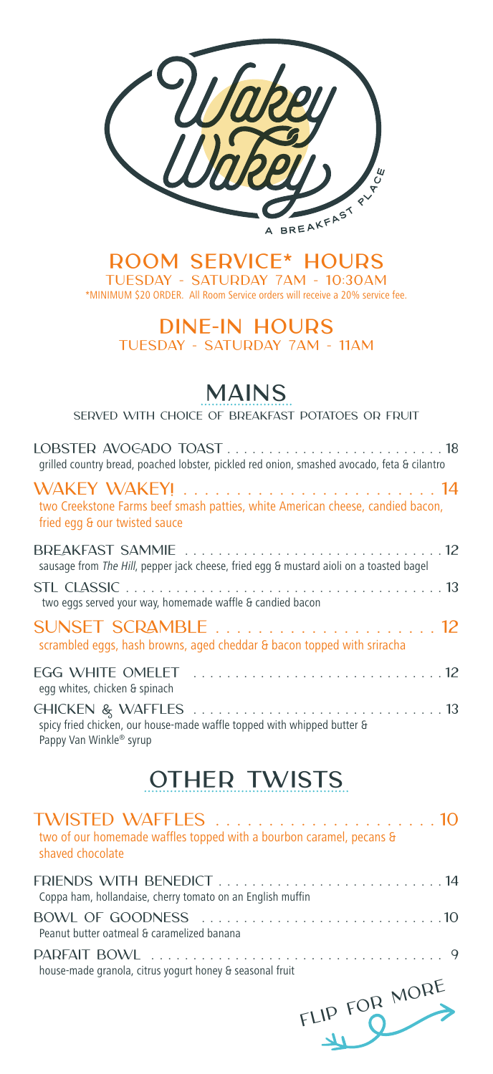

**ROOM SERVICE\* HOURS** TUESDAY - SATURDAY 7AM - 10:30AM \*MINIMUM \$20 ORDER. All Room Service orders will receive a 20% service fee.

> **DINE-IN HOURS** TUESDAY - SATURDAY 7AM - 11AM

# **MAINS**

Served with choice of breakfast potatoes or fruit

| grilled country bread, poached lobster, pickled red onion, smashed avocado, feta & cilantro                     |
|-----------------------------------------------------------------------------------------------------------------|
| two Creekstone Farms beef smash patties, white American cheese, candied bacon,<br>fried egg & our twisted sauce |
| sausage from The Hill, pepper jack cheese, fried egg & mustard aioli on a toasted bagel                         |
| two eggs served your way, homemade waffle & candied bacon                                                       |
| SUNSET SCRAMBLE  12<br>scrambled eggs, hash browns, aged cheddar & bacon topped with sriracha                   |
| egg whites, chicken & spinach                                                                                   |
| spicy fried chicken, our house-made waffle topped with whipped butter &                                         |

Pappy Van Winkle® syrup

# **OTHER TWISTS**

| two of our homemade waffles topped with a bourbon caramel, pecans &<br>shaved chocolate |  |
|-----------------------------------------------------------------------------------------|--|
| Coppa ham, hollandaise, cherry tomato on an English muffin                              |  |
| Peanut butter oatmeal & caramelized banana                                              |  |
| house-made granola, citrus yogurt honey & seasonal fruit<br>MOPE                        |  |
|                                                                                         |  |